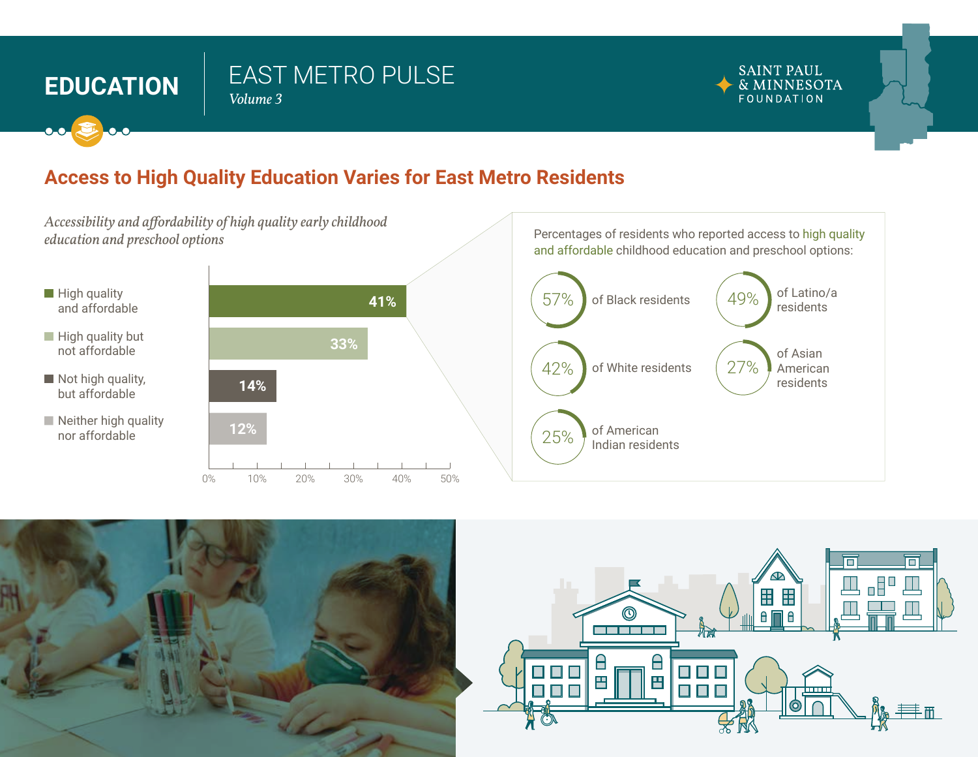# **EDUCATION**  $\left| \begin{array}{c} E A S I \\ \hline Volume 3 \end{array} \right|$

# EAST METRO PULSE



## **Access to High Quality Education Varies for East Metro Residents**